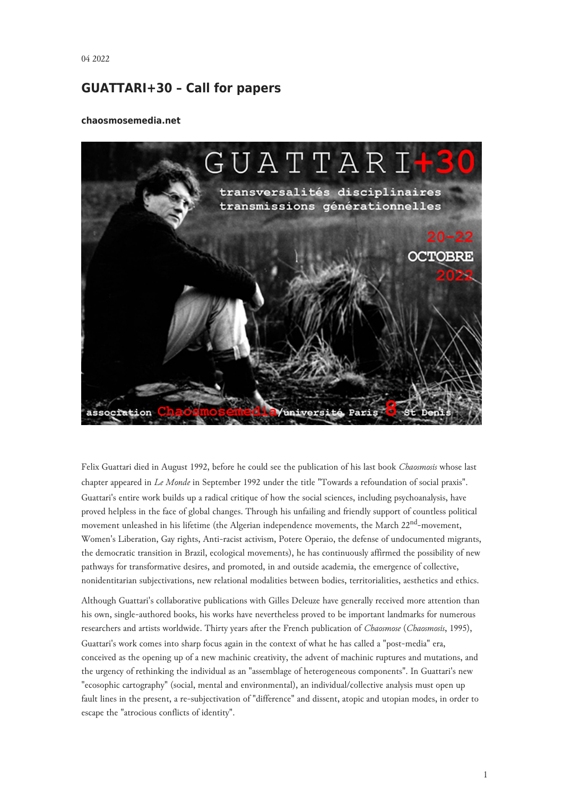## **GUATTARI+30 – Call for papers**

## **chaosmosemedia.net**



Felix Guattari died in August 1992, before he could see the publication of his last book *Chaosmosis* whose last chapter appeared in *Le Monde* in September 1992 under the title "Towards a refoundation of social praxis". Guattari's entire work builds up a radical critique of how the social sciences, including psychoanalysis, have proved helpless in the face of global changes. Through his unfailing and friendly support of countless political movement unleashed in his lifetime (the Algerian independence movements, the March 22nd-movement, Women's Liberation, Gay rights, Anti-racist activism, Potere Operaio, the defense of undocumented migrants, the democratic transition in Brazil, ecological movements), he has continuously affirmed the possibility of new pathways for transformative desires, and promoted, in and outside academia, the emergence of collective, nonidentitarian subjectivations, new relational modalities between bodies, territorialities, aesthetics and ethics.

Although Guattari's collaborative publications with Gilles Deleuze have generally received more attention than his own, single-authored books, his works have nevertheless proved to be important landmarks for numerous researchers and artists worldwide. Thirty years after the French publication of *Chaosmose* (*Chaosmosis*, 1995), Guattari's work comes into sharp focus again in the context of what he has called a "post-media" era, conceived as the opening up of a new machinic creativity, the advent of machinic ruptures and mutations, and the urgency of rethinking the individual as an "assemblage of heterogeneous components". In Guattari's new "ecosophic cartography" (social, mental and environmental), an individual/collective analysis must open up fault lines in the present, a re-subjectivation of "difference" and dissent, atopic and utopian modes, in order to escape the "atrocious conflicts of identity".